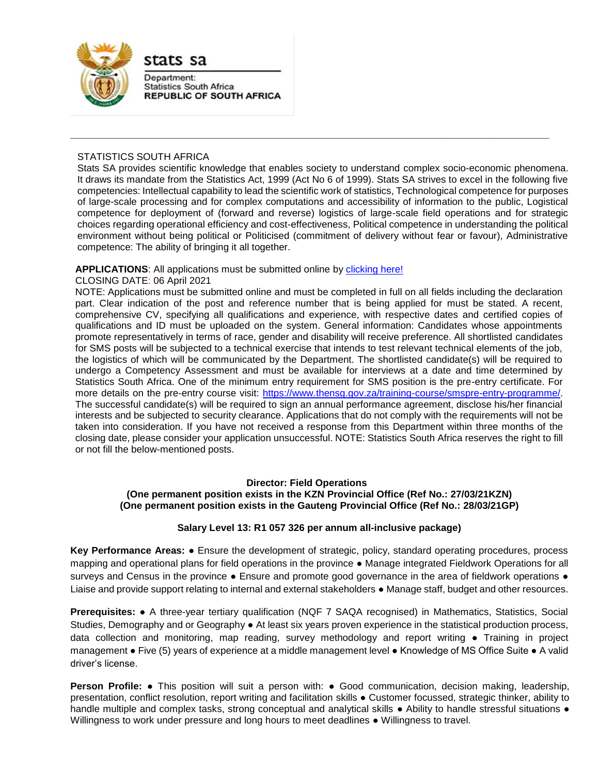

stats sa

Department: **Statistics South Africa REPUBLIC OF SOUTH AFRICA** 

## STATISTICS SOUTH AFRICA

Stats SA provides scientific knowledge that enables society to understand complex socio-economic phenomena. It draws its mandate from the Statistics Act, 1999 (Act No 6 of 1999). Stats SA strives to excel in the following five competencies: Intellectual capability to lead the scientific work of statistics, Technological competence for purposes of large-scale processing and for complex computations and accessibility of information to the public, Logistical competence for deployment of (forward and reverse) logistics of large-scale field operations and for strategic choices regarding operational efficiency and cost-effectiveness, Political competence in understanding the political environment without being political or Politicised (commitment of delivery without fear or favour), Administrative competence: The ability of bringing it all together.

**\_\_\_\_\_\_\_\_\_\_\_\_\_\_\_\_\_\_\_\_\_\_\_\_\_\_\_\_\_\_\_\_\_\_\_\_\_\_\_\_\_\_\_\_\_\_\_\_\_\_\_\_\_\_\_\_\_\_\_\_\_\_\_\_\_\_\_\_\_\_\_\_\_\_\_\_\_\_\_\_**

## APPLICATIONS: All applications must be submitted online by **clicking here!**

### CLOSING DATE: 06 April 2021

NOTE: Applications must be submitted online and must be completed in full on all fields including the declaration part. Clear indication of the post and reference number that is being applied for must be stated. A recent, comprehensive CV, specifying all qualifications and experience, with respective dates and certified copies of qualifications and ID must be uploaded on the system. General information: Candidates whose appointments promote representatively in terms of race, gender and disability will receive preference. All shortlisted candidates for SMS posts will be subjected to a technical exercise that intends to test relevant technical elements of the job, the logistics of which will be communicated by the Department. The shortlisted candidate(s) will be required to undergo a Competency Assessment and must be available for interviews at a date and time determined by Statistics South Africa. One of the minimum entry requirement for SMS position is the pre-entry certificate. For more details on the pre-entry course visit: [https://www.thensg.gov.za/training-course/smspre-entry-programme/.](https://www.thensg.gov.za/training-course/smspre-entry-programme/) The successful candidate(s) will be required to sign an annual performance agreement, disclose his/her financial interests and be subjected to security clearance. Applications that do not comply with the requirements will not be taken into consideration. If you have not received a response from this Department within three months of the closing date, please consider your application unsuccessful. NOTE: Statistics South Africa reserves the right to fill or not fill the below-mentioned posts.

### **Director: Field Operations**

### **(One permanent position exists in the KZN Provincial Office (Ref No.: 27/03/21KZN) (One permanent position exists in the Gauteng Provincial Office (Ref No.: 28/03/21GP)**

### **Salary Level 13: R1 057 326 per annum all-inclusive package)**

**Key Performance Areas:** ● Ensure the development of strategic, policy, standard operating procedures, process mapping and operational plans for field operations in the province ● Manage integrated Fieldwork Operations for all surveys and Census in the province • Ensure and promote good governance in the area of fieldwork operations • Liaise and provide support relating to internal and external stakeholders ● Manage staff, budget and other resources.

**Prerequisites:** ● A three-year tertiary qualification (NQF 7 SAQA recognised) in Mathematics, Statistics, Social Studies, Demography and or Geography ● At least six years proven experience in the statistical production process, data collection and monitoring, map reading, survey methodology and report writing ● Training in project management ● Five (5) years of experience at a middle management level ● Knowledge of MS Office Suite ● A valid driver's license.

**Person Profile: •** This position will suit a person with: • Good communication, decision making, leadership, presentation, conflict resolution, report writing and facilitation skills ● Customer focussed, strategic thinker, ability to handle multiple and complex tasks, strong conceptual and analytical skills • Ability to handle stressful situations • Willingness to work under pressure and long hours to meet deadlines ● Willingness to travel.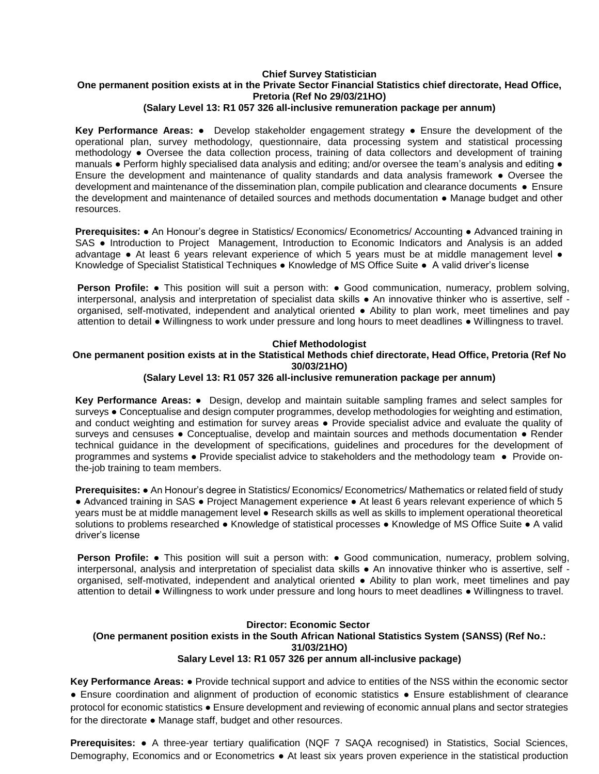## **Chief Survey Statistician One permanent position exists at in the Private Sector Financial Statistics chief directorate, Head Office, Pretoria (Ref No 29/03/21HO)**

## **(Salary Level 13: R1 057 326 all-inclusive remuneration package per annum)**

**Key Performance Areas:** ● Develop stakeholder engagement strategy ● Ensure the development of the operational plan, survey methodology, questionnaire, data processing system and statistical processing methodology ● Oversee the data collection process, training of data collectors and development of training manuals ● Perform highly specialised data analysis and editing; and/or oversee the team's analysis and editing ● Ensure the development and maintenance of quality standards and data analysis framework ● Oversee the development and maintenance of the dissemination plan, compile publication and clearance documents ● Ensure the development and maintenance of detailed sources and methods documentation ● Manage budget and other resources.

**Prerequisites: •** An Honour's degree in Statistics/ Economics/ Econometrics/ Accounting • Advanced training in SAS ● Introduction to Project Management, Introduction to Economic Indicators and Analysis is an added advantage • At least 6 years relevant experience of which 5 years must be at middle management level • Knowledge of Specialist Statistical Techniques ● Knowledge of MS Office Suite ● A valid driver's license

**Person Profile: •** This position will suit a person with: • Good communication, numeracy, problem solving, interpersonal, analysis and interpretation of specialist data skills ● An innovative thinker who is assertive, self organised, self-motivated, independent and analytical oriented ● Ability to plan work, meet timelines and pay attention to detail ● Willingness to work under pressure and long hours to meet deadlines ● Willingness to travel.

### **Chief Methodologist**

# **One permanent position exists at in the Statistical Methods chief directorate, Head Office, Pretoria (Ref No 30/03/21HO)**

## **(Salary Level 13: R1 057 326 all-inclusive remuneration package per annum)**

**Key Performance Areas:** ● Design, develop and maintain suitable sampling frames and select samples for surveys ● Conceptualise and design computer programmes, develop methodologies for weighting and estimation, and conduct weighting and estimation for survey areas ● Provide specialist advice and evaluate the quality of surveys and censuses • Conceptualise, develop and maintain sources and methods documentation • Render technical guidance in the development of specifications, guidelines and procedures for the development of programmes and systems • Provide specialist advice to stakeholders and the methodology team • Provide onthe-job training to team members.

**Prerequisites:** ● An Honour's degree in Statistics/ Economics/ Econometrics/ Mathematics or related field of study ● Advanced training in SAS ● Project Management experience ● At least 6 years relevant experience of which 5 years must be at middle management level ● Research skills as well as skills to implement operational theoretical solutions to problems researched • Knowledge of statistical processes • Knowledge of MS Office Suite • A valid driver's license

**Person Profile: •** This position will suit a person with: • Good communication, numeracy, problem solving, interpersonal, analysis and interpretation of specialist data skills ● An innovative thinker who is assertive, self organised, self-motivated, independent and analytical oriented ● Ability to plan work, meet timelines and pay attention to detail ● Willingness to work under pressure and long hours to meet deadlines ● Willingness to travel.

### **Director: Economic Sector**

#### **(One permanent position exists in the South African National Statistics System (SANSS) (Ref No.: 31/03/21HO) Salary Level 13: R1 057 326 per annum all-inclusive package)**

**Key Performance Areas:** ● Provide technical support and advice to entities of the NSS within the economic sector ● Ensure coordination and alignment of production of economic statistics ● Ensure establishment of clearance protocol for economic statistics ● Ensure development and reviewing of economic annual plans and sector strategies for the directorate ● Manage staff, budget and other resources.

**Prerequisites: ●** A three-year tertiary qualification (NQF 7 SAQA recognised) in Statistics, Social Sciences, Demography, Economics and or Econometrics ● At least six years proven experience in the statistical production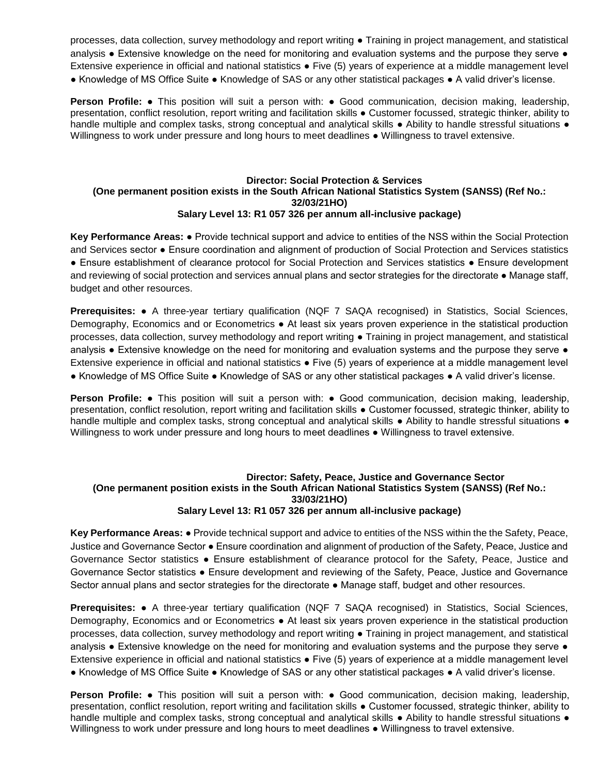processes, data collection, survey methodology and report writing ● Training in project management, and statistical analysis • Extensive knowledge on the need for monitoring and evaluation systems and the purpose they serve • Extensive experience in official and national statistics ● Five (5) years of experience at a middle management level ● Knowledge of MS Office Suite ● Knowledge of SAS or any other statistical packages ● A valid driver's license.

**Person Profile: •** This position will suit a person with: • Good communication, decision making, leadership, presentation, conflict resolution, report writing and facilitation skills ● Customer focussed, strategic thinker, ability to handle multiple and complex tasks, strong conceptual and analytical skills • Ability to handle stressful situations • Willingness to work under pressure and long hours to meet deadlines ● Willingness to travel extensive.

## **Director: Social Protection & Services (One permanent position exists in the South African National Statistics System (SANSS) (Ref No.: 32/03/21HO) Salary Level 13: R1 057 326 per annum all-inclusive package)**

**Key Performance Areas:** ● Provide technical support and advice to entities of the NSS within the Social Protection and Services sector ● Ensure coordination and alignment of production of Social Protection and Services statistics ● Ensure establishment of clearance protocol for Social Protection and Services statistics ● Ensure development and reviewing of social protection and services annual plans and sector strategies for the directorate • Manage staff, budget and other resources.

**Prerequisites:** ● A three-year tertiary qualification (NQF 7 SAQA recognised) in Statistics, Social Sciences, Demography, Economics and or Econometrics ● At least six years proven experience in the statistical production processes, data collection, survey methodology and report writing ● Training in project management, and statistical analysis • Extensive knowledge on the need for monitoring and evaluation systems and the purpose they serve • Extensive experience in official and national statistics ● Five (5) years of experience at a middle management level ● Knowledge of MS Office Suite ● Knowledge of SAS or any other statistical packages ● A valid driver's license.

**Person Profile: •** This position will suit a person with: • Good communication, decision making, leadership, presentation, conflict resolution, report writing and facilitation skills ● Customer focussed, strategic thinker, ability to handle multiple and complex tasks, strong conceptual and analytical skills • Ability to handle stressful situations • Willingness to work under pressure and long hours to meet deadlines ● Willingness to travel extensive.

### **Director: Safety, Peace, Justice and Governance Sector (One permanent position exists in the South African National Statistics System (SANSS) (Ref No.: 33/03/21HO) Salary Level 13: R1 057 326 per annum all-inclusive package)**

**Key Performance Areas:** ● Provide technical support and advice to entities of the NSS within the the Safety, Peace, Justice and Governance Sector ● Ensure coordination and alignment of production of the Safety, Peace, Justice and Governance Sector statistics ● Ensure establishment of clearance protocol for the Safety, Peace, Justice and Governance Sector statistics ● Ensure development and reviewing of the Safety, Peace, Justice and Governance Sector annual plans and sector strategies for the directorate ● Manage staff, budget and other resources.

**Prerequisites:** ● A three-year tertiary qualification (NQF 7 SAQA recognised) in Statistics, Social Sciences, Demography, Economics and or Econometrics ● At least six years proven experience in the statistical production processes, data collection, survey methodology and report writing ● Training in project management, and statistical analysis • Extensive knowledge on the need for monitoring and evaluation systems and the purpose they serve • Extensive experience in official and national statistics ● Five (5) years of experience at a middle management level ● Knowledge of MS Office Suite ● Knowledge of SAS or any other statistical packages ● A valid driver's license.

**Person Profile: •** This position will suit a person with: • Good communication, decision making, leadership, presentation, conflict resolution, report writing and facilitation skills ● Customer focussed, strategic thinker, ability to handle multiple and complex tasks, strong conceptual and analytical skills • Ability to handle stressful situations • Willingness to work under pressure and long hours to meet deadlines ● Willingness to travel extensive.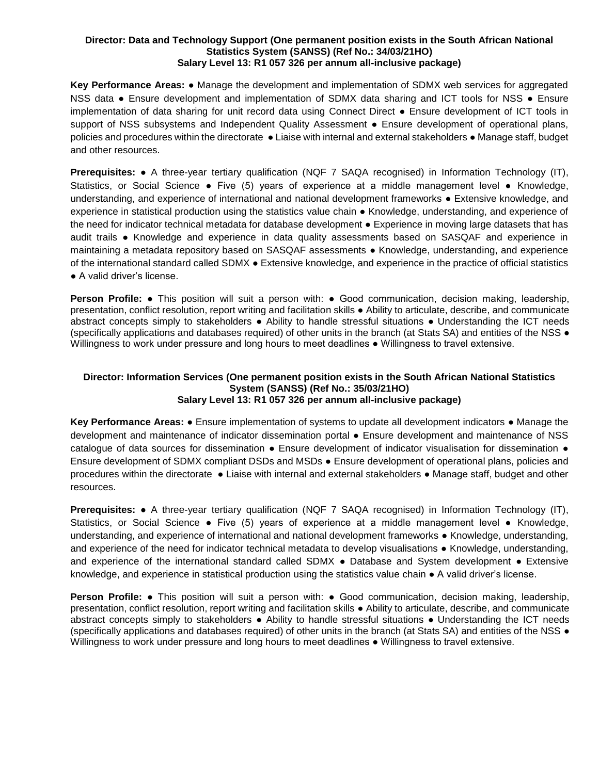#### **Director: Data and Technology Support (One permanent position exists in the South African National Statistics System (SANSS) (Ref No.: 34/03/21HO) Salary Level 13: R1 057 326 per annum all-inclusive package)**

**Key Performance Areas:** ● Manage the development and implementation of SDMX web services for aggregated NSS data • Ensure development and implementation of SDMX data sharing and ICT tools for NSS • Ensure implementation of data sharing for unit record data using Connect Direct ● Ensure development of ICT tools in support of NSS subsystems and Independent Quality Assessment ● Ensure development of operational plans, policies and procedures within the directorate ● Liaise with internal and external stakeholders ● Manage staff, budget and other resources.

**Prerequisites: ●** A three-year tertiary qualification (NQF 7 SAQA recognised) in Information Technology (IT), Statistics, or Social Science ● Five (5) years of experience at a middle management level ● Knowledge, understanding, and experience of international and national development frameworks ● Extensive knowledge, and experience in statistical production using the statistics value chain ● Knowledge, understanding, and experience of the need for indicator technical metadata for database development ● Experience in moving large datasets that has audit trails ● Knowledge and experience in data quality assessments based on SASQAF and experience in maintaining a metadata repository based on SASQAF assessments ● Knowledge, understanding, and experience of the international standard called SDMX ● Extensive knowledge, and experience in the practice of official statistics ● A valid driver's license.

**Person Profile: •** This position will suit a person with: • Good communication, decision making, leadership, presentation, conflict resolution, report writing and facilitation skills ● Ability to articulate, describe, and communicate abstract concepts simply to stakeholders ● Ability to handle stressful situations ● Understanding the ICT needs (specifically applications and databases required) of other units in the branch (at Stats SA) and entities of the NSS ● Willingness to work under pressure and long hours to meet deadlines ● Willingness to travel extensive.

### **Director: Information Services (One permanent position exists in the South African National Statistics System (SANSS) (Ref No.: 35/03/21HO) Salary Level 13: R1 057 326 per annum all-inclusive package)**

**Key Performance Areas:** ● Ensure implementation of systems to update all development indicators ● Manage the development and maintenance of indicator dissemination portal ● Ensure development and maintenance of NSS catalogue of data sources for dissemination • Ensure development of indicator visualisation for dissemination • Ensure development of SDMX compliant DSDs and MSDs ● Ensure development of operational plans, policies and procedures within the directorate ● Liaise with internal and external stakeholders ● Manage staff, budget and other resources.

**Prerequisites: ●** A three-year tertiary qualification (NQF 7 SAQA recognised) in Information Technology (IT), Statistics, or Social Science ● Five (5) years of experience at a middle management level ● Knowledge, understanding, and experience of international and national development frameworks ● Knowledge, understanding, and experience of the need for indicator technical metadata to develop visualisations • Knowledge, understanding, and experience of the international standard called SDMX ● Database and System development ● Extensive knowledge, and experience in statistical production using the statistics value chain ● A valid driver's license.

**Person Profile: •** This position will suit a person with: • Good communication, decision making, leadership, presentation, conflict resolution, report writing and facilitation skills ● Ability to articulate, describe, and communicate abstract concepts simply to stakeholders ● Ability to handle stressful situations ● Understanding the ICT needs (specifically applications and databases required) of other units in the branch (at Stats SA) and entities of the NSS ● Willingness to work under pressure and long hours to meet deadlines ● Willingness to travel extensive.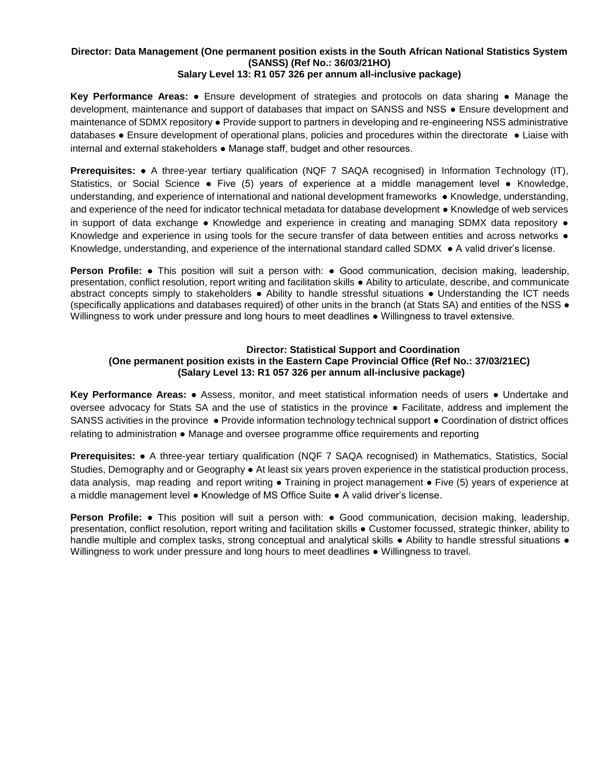# **Director: Data Management (One permanent position exists in the South African National Statistics System (SANSS) (Ref No.: 36/03/21HO)**

# **Salary Level 13: R1 057 326 per annum all-inclusive package)**

**Key Performance Areas:** ● Ensure development of strategies and protocols on data sharing ● Manage the development, maintenance and support of databases that impact on SANSS and NSS ● Ensure development and maintenance of SDMX repository ● Provide support to partners in developing and re-engineering NSS administrative databases ● Ensure development of operational plans, policies and procedures within the directorate ● Liaise with internal and external stakeholders ● Manage staff, budget and other resources.

**Prerequisites: ●** A three-year tertiary qualification (NQF 7 SAQA recognised) in Information Technology (IT), Statistics, or Social Science ● Five (5) years of experience at a middle management level ● Knowledge, understanding, and experience of international and national development frameworks ● Knowledge, understanding, and experience of the need for indicator technical metadata for database development ● Knowledge of web services in support of data exchange • Knowledge and experience in creating and managing SDMX data repository • Knowledge and experience in using tools for the secure transfer of data between entities and across networks  $\bullet$ Knowledge, understanding, and experience of the international standard called SDMX ● A valid driver's license.

**Person Profile: •** This position will suit a person with: • Good communication, decision making, leadership, presentation, conflict resolution, report writing and facilitation skills ● Ability to articulate, describe, and communicate abstract concepts simply to stakeholders ● Ability to handle stressful situations ● Understanding the ICT needs (specifically applications and databases required) of other units in the branch (at Stats SA) and entities of the NSS ● Willingness to work under pressure and long hours to meet deadlines ● Willingness to travel extensive.

## **Director: Statistical Support and Coordination (One permanent position exists in the Eastern Cape Provincial Office (Ref No.: 37/03/21EC) (Salary Level 13: R1 057 326 per annum all-inclusive package)**

**Key Performance Areas:** ● Assess, monitor, and meet statistical information needs of users ● Undertake and oversee advocacy for Stats SA and the use of statistics in the province ● Facilitate, address and implement the SANSS activities in the province • Provide information technology technical support • Coordination of district offices relating to administration ● Manage and oversee programme office requirements and reporting

**Prerequisites:** ● A three-year tertiary qualification (NQF 7 SAQA recognised) in Mathematics, Statistics, Social Studies, Demography and or Geography ● At least six years proven experience in the statistical production process, data analysis, map reading and report writing • Training in project management • Five (5) years of experience at a middle management level ● Knowledge of MS Office Suite ● A valid driver's license.

**Person Profile: •** This position will suit a person with: • Good communication, decision making, leadership, presentation, conflict resolution, report writing and facilitation skills ● Customer focussed, strategic thinker, ability to handle multiple and complex tasks, strong conceptual and analytical skills • Ability to handle stressful situations • Willingness to work under pressure and long hours to meet deadlines ● Willingness to travel.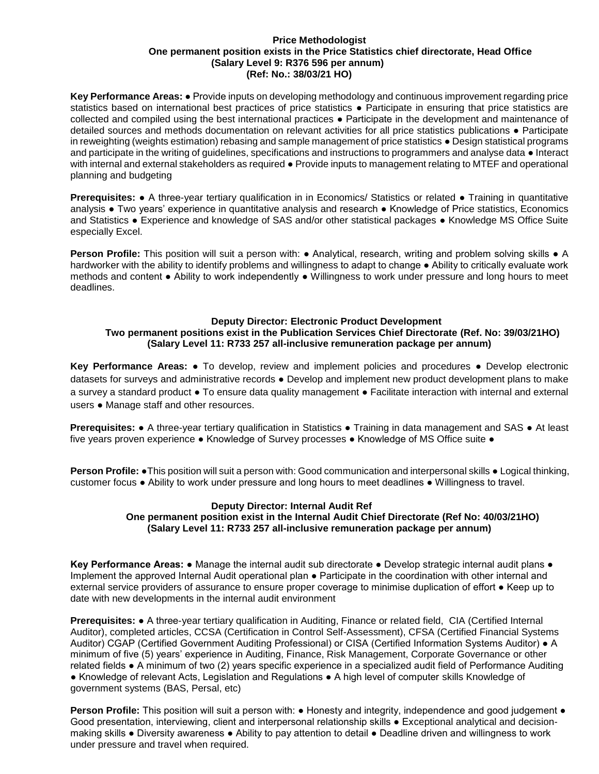#### **Price Methodologist One permanent position exists in the Price Statistics chief directorate, Head Office (Salary Level 9: R376 596 per annum) (Ref: No.: 38/03/21 HO)**

**Key Performance Areas:** ● Provide inputs on developing methodology and continuous improvement regarding price statistics based on international best practices of price statistics • Participate in ensuring that price statistics are collected and compiled using the best international practices ● Participate in the development and maintenance of detailed sources and methods documentation on relevant activities for all price statistics publications ● Participate in reweighting (weights estimation) rebasing and sample management of price statistics ● Design statistical programs and participate in the writing of guidelines, specifications and instructions to programmers and analyse data ● Interact with internal and external stakeholders as required ● Provide inputs to management relating to MTEF and operational planning and budgeting

**Prerequisites: •** A three-year tertiary qualification in in Economics/ Statistics or related • Training in quantitative analysis ● Two years' experience in quantitative analysis and research ● Knowledge of Price statistics, Economics and Statistics ● Experience and knowledge of SAS and/or other statistical packages ● Knowledge MS Office Suite especially Excel.

**Person Profile:** This position will suit a person with: • Analytical, research, writing and problem solving skills • A hardworker with the ability to identify problems and willingness to adapt to change ● Ability to critically evaluate work methods and content ● Ability to work independently ● Willingness to work under pressure and long hours to meet deadlines.

## **Deputy Director: Electronic Product Development Two permanent positions exist in the Publication Services Chief Directorate (Ref. No: 39/03/21HO) (Salary Level 11: R733 257 all-inclusive remuneration package per annum)**

**Key Performance Areas:** ● To develop, review and implement policies and procedures ● Develop electronic datasets for surveys and administrative records ● Develop and implement new product development plans to make a survey a standard product ● To ensure data quality management ● Facilitate interaction with internal and external users ● Manage staff and other resources.

**Prerequisites: •** A three-year tertiary qualification in Statistics • Training in data management and SAS • At least five years proven experience ● Knowledge of Survey processes ● Knowledge of MS Office suite ●

**Person Profile: •**This position will suit a person with: Good communication and interpersonal skills • Logical thinking, customer focus ● Ability to work under pressure and long hours to meet deadlines ● Willingness to travel.

### **Deputy Director: Internal Audit Ref One permanent position exist in the Internal Audit Chief Directorate (Ref No: 40/03/21HO) (Salary Level 11: R733 257 all-inclusive remuneration package per annum)**

**Key Performance Areas: ●** Manage the internal audit sub directorate ● Develop strategic internal audit plans ● Implement the approved Internal Audit operational plan ● Participate in the coordination with other internal and external service providers of assurance to ensure proper coverage to minimise duplication of effort ● Keep up to date with new developments in the internal audit environment

**Prerequisites:** ● A three-year tertiary qualification in Auditing, Finance or related field, CIA (Certified Internal Auditor), completed articles, CCSA (Certification in Control Self-Assessment), CFSA (Certified Financial Systems Auditor) CGAP (Certified Government Auditing Professional) or CISA (Certified Information Systems Auditor) ● A minimum of five (5) years' experience in Auditing, Finance, Risk Management, Corporate Governance or other related fields ● A minimum of two (2) years specific experience in a specialized audit field of Performance Auditing ● Knowledge of relevant Acts, Legislation and Regulations ● A high level of computer skills Knowledge of government systems (BAS, Persal, etc)

**Person Profile:** This position will suit a person with: ● Honesty and integrity, independence and good judgement ● Good presentation, interviewing, client and interpersonal relationship skills ● Exceptional analytical and decisionmaking skills ● Diversity awareness ● Ability to pay attention to detail ● Deadline driven and willingness to work under pressure and travel when required.